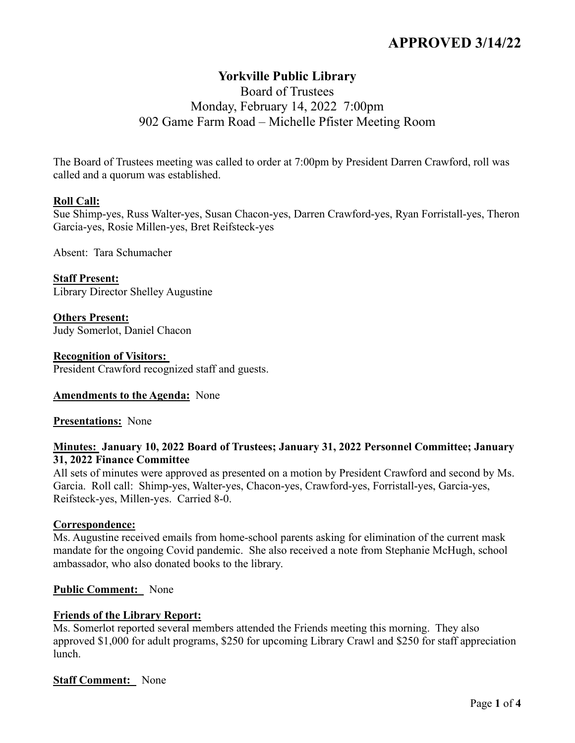# **APPROVED 3/14/22**

# **Yorkville Public Library**

## Board of Trustees Monday, February 14, 2022 7:00pm 902 Game Farm Road – Michelle Pfister Meeting Room

The Board of Trustees meeting was called to order at 7:00pm by President Darren Crawford, roll was called and a quorum was established.

### **Roll Call:**

Sue Shimp-yes, Russ Walter-yes, Susan Chacon-yes, Darren Crawford-yes, Ryan Forristall-yes, Theron Garcia-yes, Rosie Millen-yes, Bret Reifsteck-yes

Absent: Tara Schumacher

**Staff Present:** Library Director Shelley Augustine

**Others Present:** Judy Somerlot, Daniel Chacon

#### **Recognition of Visitors:**

President Crawford recognized staff and guests.

#### **Amendments to the Agenda:** None

**Presentations:** None

### **Minutes: January 10, 2022 Board of Trustees; January 31, 2022 Personnel Committee; January 31, 2022 Finance Committee**

All sets of minutes were approved as presented on a motion by President Crawford and second by Ms. Garcia. Roll call: Shimp-yes, Walter-yes, Chacon-yes, Crawford-yes, Forristall-yes, Garcia-yes, Reifsteck-yes, Millen-yes. Carried 8-0.

### **Correspondence:**

Ms. Augustine received emails from home-school parents asking for elimination of the current mask mandate for the ongoing Covid pandemic. She also received a note from Stephanie McHugh, school ambassador, who also donated books to the library.

### **Public Comment:** None

### **Friends of the Library Report:**

Ms. Somerlot reported several members attended the Friends meeting this morning. They also approved \$1,000 for adult programs, \$250 for upcoming Library Crawl and \$250 for staff appreciation lunch.

### **Staff Comment:** None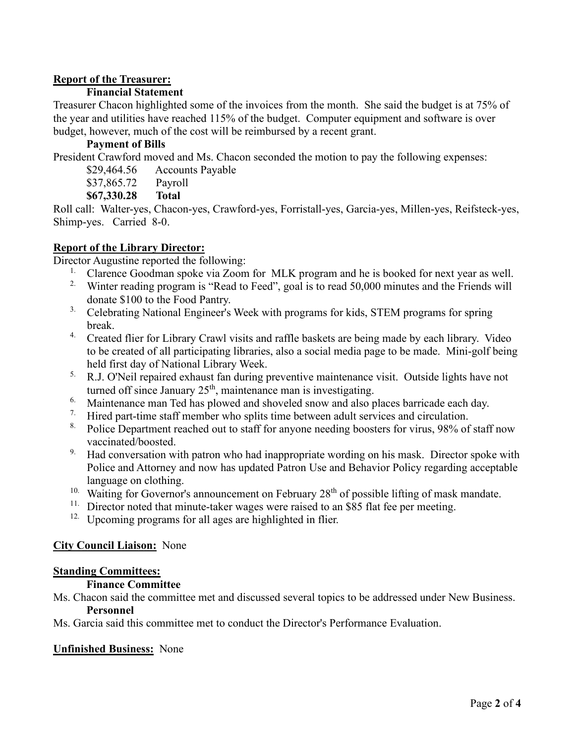### **Report of the Treasurer:**

### **Financial Statement**

Treasurer Chacon highlighted some of the invoices from the month. She said the budget is at 75% of the year and utilities have reached 115% of the budget. Computer equipment and software is over budget, however, much of the cost will be reimbursed by a recent grant.

### **Payment of Bills**

President Crawford moved and Ms. Chacon seconded the motion to pay the following expenses:

- \$29,464.56 Accounts Payable
- \$37,865.72 Payroll
- **\$67,330.28 Total**

Roll call: Walter-yes, Chacon-yes, Crawford-yes, Forristall-yes, Garcia-yes, Millen-yes, Reifsteck-yes, Shimp-yes. Carried 8-0.

### **Report of the Library Director:**

Director Augustine reported the following:

- <sup>1.</sup> Clarence Goodman spoke via Zoom for MLK program and he is booked for next year as well.
- <sup>2.</sup> Winter reading program is "Read to Feed", goal is to read 50,000 minutes and the Friends will donate \$100 to the Food Pantry.
- <sup>3.</sup> Celebrating National Engineer's Week with programs for kids, STEM programs for spring break.
- 4. Created flier for Library Crawl visits and raffle baskets are being made by each library. Video to be created of all participating libraries, also a social media page to be made. Mini-golf being held first day of National Library Week.
- <sup>5.</sup> R.J. O'Neil repaired exhaust fan during preventive maintenance visit. Outside lights have not turned off since January  $25<sup>th</sup>$ , maintenance man is investigating.
- <sup>6.</sup> Maintenance man Ted has plowed and shoveled snow and also places barricade each day.
- <sup>7.</sup> Hired part-time staff member who splits time between adult services and circulation.
- <sup>8.</sup> Police Department reached out to staff for anyone needing boosters for virus, 98% of staff now vaccinated/boosted.
- <sup>9.</sup> Had conversation with patron who had inappropriate wording on his mask. Director spoke with Police and Attorney and now has updated Patron Use and Behavior Policy regarding acceptable language on clothing.
- <sup>10.</sup> Waiting for Governor's announcement on February  $28<sup>th</sup>$  of possible lifting of mask mandate.
- <sup>11.</sup> Director noted that minute-taker wages were raised to an \$85 flat fee per meeting.
- <sup>12.</sup> Upcoming programs for all ages are highlighted in flier.

### **City Council Liaison:** None

### **Standing Committees:**

### **Finance Committee**

Ms. Chacon said the committee met and discussed several topics to be addressed under New Business. **Personnel**

Ms. Garcia said this committee met to conduct the Director's Performance Evaluation.

### **Unfinished Business:** None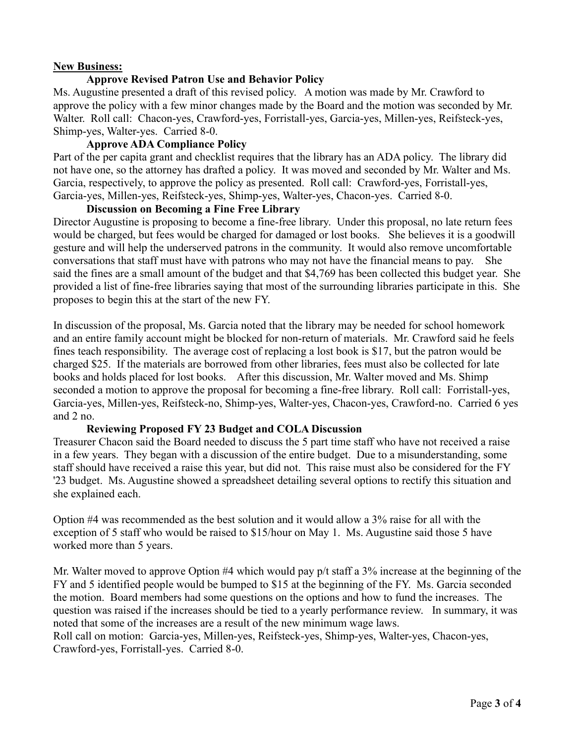### **New Business:**

### **Approve Revised Patron Use and Behavior Policy**

Ms. Augustine presented a draft of this revised policy. A motion was made by Mr. Crawford to approve the policy with a few minor changes made by the Board and the motion was seconded by Mr. Walter. Roll call: Chacon-yes, Crawford-yes, Forristall-yes, Garcia-yes, Millen-yes, Reifsteck-yes, Shimp-yes, Walter-yes. Carried 8-0.

### **Approve ADA Compliance Policy**

Part of the per capita grant and checklist requires that the library has an ADA policy. The library did not have one, so the attorney has drafted a policy. It was moved and seconded by Mr. Walter and Ms. Garcia, respectively, to approve the policy as presented. Roll call: Crawford-yes, Forristall-yes, Garcia-yes, Millen-yes, Reifsteck-yes, Shimp-yes, Walter-yes, Chacon-yes. Carried 8-0.

### **Discussion on Becoming a Fine Free Library**

Director Augustine is proposing to become a fine-free library. Under this proposal, no late return fees would be charged, but fees would be charged for damaged or lost books. She believes it is a goodwill gesture and will help the underserved patrons in the community. It would also remove uncomfortable conversations that staff must have with patrons who may not have the financial means to pay. She said the fines are a small amount of the budget and that \$4,769 has been collected this budget year. She provided a list of fine-free libraries saying that most of the surrounding libraries participate in this. She proposes to begin this at the start of the new FY.

In discussion of the proposal, Ms. Garcia noted that the library may be needed for school homework and an entire family account might be blocked for non-return of materials. Mr. Crawford said he feels fines teach responsibility. The average cost of replacing a lost book is \$17, but the patron would be charged \$25. If the materials are borrowed from other libraries, fees must also be collected for late books and holds placed for lost books. After this discussion, Mr. Walter moved and Ms. Shimp seconded a motion to approve the proposal for becoming a fine-free library. Roll call: Forristall-yes, Garcia-yes, Millen-yes, Reifsteck-no, Shimp-yes, Walter-yes, Chacon-yes, Crawford-no. Carried 6 yes and 2 no.

### **Reviewing Proposed FY 23 Budget and COLA Discussion**

Treasurer Chacon said the Board needed to discuss the 5 part time staff who have not received a raise in a few years. They began with a discussion of the entire budget. Due to a misunderstanding, some staff should have received a raise this year, but did not. This raise must also be considered for the FY '23 budget. Ms. Augustine showed a spreadsheet detailing several options to rectify this situation and she explained each.

Option #4 was recommended as the best solution and it would allow a 3% raise for all with the exception of 5 staff who would be raised to \$15/hour on May 1. Ms. Augustine said those 5 have worked more than 5 years.

Mr. Walter moved to approve Option #4 which would pay  $p/t$  staff a 3% increase at the beginning of the FY and 5 identified people would be bumped to \$15 at the beginning of the FY. Ms. Garcia seconded the motion. Board members had some questions on the options and how to fund the increases. The question was raised if the increases should be tied to a yearly performance review. In summary, it was noted that some of the increases are a result of the new minimum wage laws.

Roll call on motion: Garcia-yes, Millen-yes, Reifsteck-yes, Shimp-yes, Walter-yes, Chacon-yes, Crawford-yes, Forristall-yes. Carried 8-0.